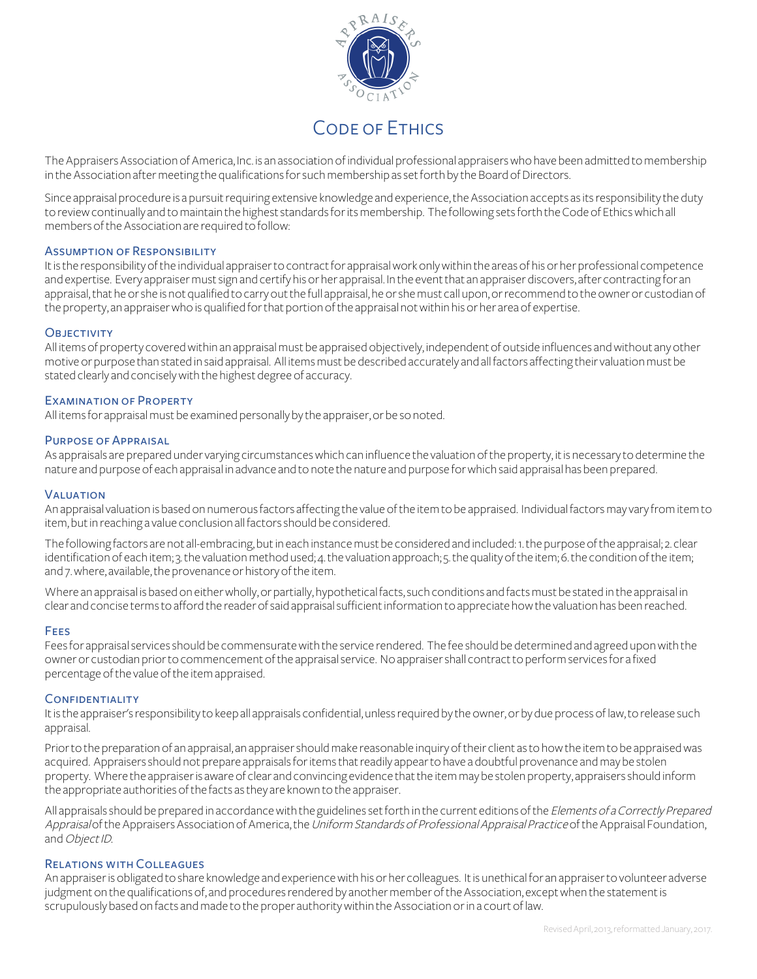

## Code of Ethics

The Appraisers Association of America, Inc. is an association of individual professional appraisers who have been admitted to membership in the Association after meeting the qualifications for such membership as set forth by the Board of Directors.

Since appraisal procedure is a pursuit requiring extensive knowledge and experience, the Association accepts as its responsibility the duty to review continually and to maintain the highest standards for its membership. The following sets forth the Code of Ethics which all members of the Association are required to follow:

#### Assumption of Responsibility

It is the responsibility of the individual appraiser to contract for appraisal work only within the areas of his or her professional competence and expertise. Every appraiser must sign and certify his or her appraisal. In the event that an appraiser discovers, after contracting for an appraisal, that he or she is not qualified to carry out the full appraisal, he or she must call upon, or recommend to the owner or custodian of the property, an appraiser who is qualified for that portion of the appraisal not within his or her area of expertise.

#### **OBJECTIVITY**

All items of property covered within an appraisal must be appraised objectively, independent of outside influences and without any other motive or purpose than stated in said appraisal. All items must be described accurately and all factors affecting their valuation must be stated clearly and concisely with the highest degree of accuracy.

#### Examination of Property

All items for appraisal must be examined personally by the appraiser, or be so noted.

#### Purpose of Appraisal

As appraisals are prepared under varying circumstances which can influence the valuation of the property, it is necessary to determine the nature and purpose of each appraisal in advance and to note the nature and purpose for which said appraisal has been prepared.

#### **VALUATION**

An appraisal valuation is based on numerous factors affecting the value of the item to be appraised. Individual factors may vary from item to item, but in reaching a value conclusion all factors should be considered.

The following factors are not all-embracing, but in each instance must be considered and included: 1.the purpose of the appraisal; 2. clear identification of each item; 3. the valuation method used; 4. the valuation approach; 5. the quality of the item; 6. the condition of the item; and 7. where, available, the provenance or history of the item.

Where an appraisal is based on either wholly, or partially, hypothetical facts, such conditions and facts must be stated in the appraisal in clear and concise terms to afford the reader of said appraisal sufficient information to appreciate how the valuation has been reached.

#### **FEES**

Feesfor appraisal services should be commensurate with the service rendered. The fee should be determined and agreed upon with the owner or custodian prior to commencement of the appraisal service. No appraiser shall contract to perform services for a fixed percentage of the value of the item appraised.

#### **CONFIDENTIALITY**

It is the appraiser's responsibility to keep all appraisals confidential, unless required by the owner, or by due process of law, to release such appraisal.

Prior to the preparation of an appraisal, an appraiser should make reasonable inquiry of their client as to how the item to be appraised was acquired. Appraisers should not prepare appraisals for items that readily appear to have a doubtful provenance and may be stolen property. Where the appraiser is aware of clear and convincing evidence that the item may be stolen property, appraisers should inform the appropriate authorities of the facts as they are known to the appraiser.

All appraisals should be prepared in accordance with the guidelines set forth in the current editions of the Elements of a Correctly Prepared Appraisal of the Appraisers Association of America, the Uniform Standards of Professional Appraisal Practice of the Appraisal Foundation, and Object ID.

#### Relations with Colleagues

An appraiser is obligated to share knowledge and experience with his or her colleagues. It is unethical for an appraiser to volunteer adverse judgment on the qualifications of, and procedures rendered by another member of the Association, except when the statement is scrupulously based on facts and made to the proper authority within the Association or in a court of law.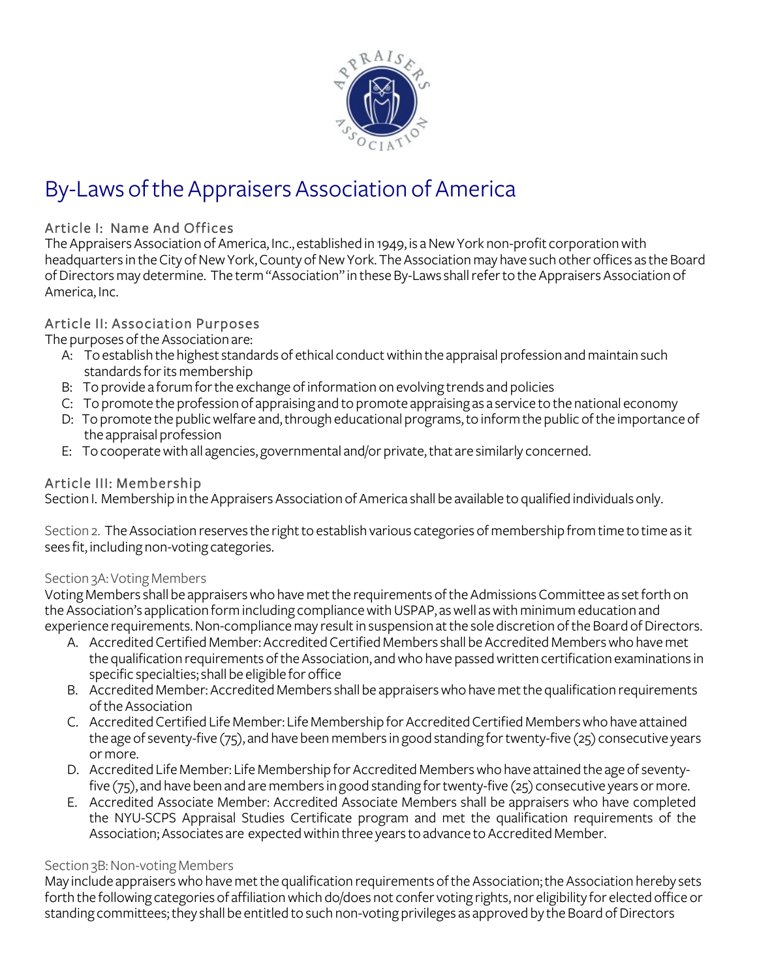

# By-Laws of the Appraisers Association of America

## Article I: Name And Offices

The Appraisers Association of America, Inc., established in 1949, is a NewYork non-profit corporation with headquarters in the City of New York, County of New York. The Association may have such other offices as the Board of Directors may determine. The term "Association" in these By-Laws shall refer to the Appraisers Association 0f America, Inc.

## Article II: Association Purposes

The purposes of the Association are:

- A: To establish the highest standards of ethical conduct within the appraisal profession and maintain such standards for its membership
- B: To provide a forum for the exchange of information on evolving trends and policies
- C: To promote the profession of appraising and to promote appraising as a service to the national economy
- D: To promote the public welfare and, through educational programs, to inform the public of the importance of the appraisal profession
- E: To cooperate with all agencies, governmental and/or private, that are similarly concerned.

## Article III: Membership

Section I. Membership in the Appraisers Association of America shall be available to qualified individuals only.

Section 2. The Association reserves the right to establish various categories of membership from time to time as it sees fit, including non-voting categories.

## Section 3A:Voting Members

Voting Members shall be appraisers who have met the requirements of the Admissions Committee as set forth on the Association's application form including compliance with USPAP, as well as with minimum education and experience requirements. Non-compliance may result in suspension at the sole discretion of the Board of Directors.

- A. Accredited Certified Member: Accredited Certified Members shall be Accredited Members who have met the qualification requirements of the Association, and who have passed written certification examinations in specific specialties; shall be eligible for office
- B. Accredited Member:Accredited Members shall be appraisers who have met the qualification requirements of the Association
- C. Accredited Certified Life Member: Life Membership for Accredited Certified Members who have attained the age of seventy-five (75), and have been membersin good standing for twenty-five (25) consecutive years or more.
- D. Accredited Life Member: Life Membership for Accredited Members who have attained the age of seventyfive (75), and have been and are members in good standing for twenty-five (25) consecutive years or more.
- E. Accredited Associate Member: Accredited Associate Members shall be appraisers who have completed the NYU-SCPS Appraisal Studies Certificate program and met the qualification requirements of the Association; Associates are expected within three years to advance to Accredited Member.

## Section 3B: Non-voting Members

May include appraisers who have met the qualification requirements of the Association; the Association hereby sets forth the following categories of affiliation which do/does not confer voting rights, nor eligibility for elected office or standing committees; they shall be entitled to such non-voting privileges as approved by the Board of Directors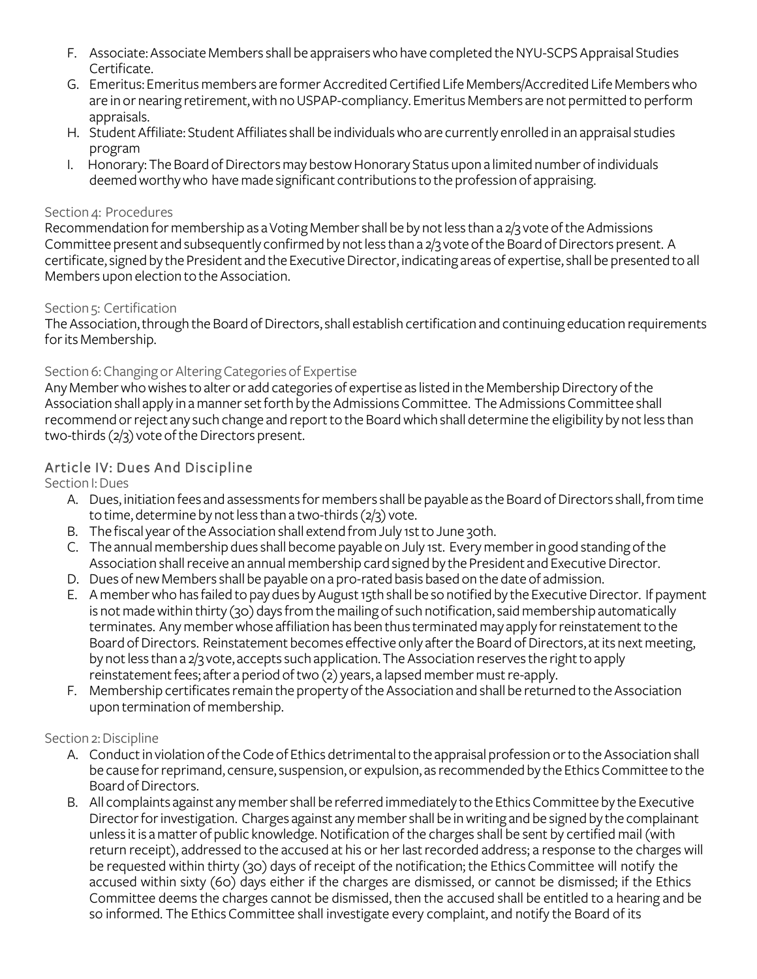- F. Associate: Associate Members shall be appraisers who have completed the NYU-SCPS Appraisal Studies Certificate.
- G. Emeritus: Emeritus members are former Accredited Certified Life Members/Accredited Life Members who are in or nearing retirement, with no USPAP-compliancy. Emeritus Members are not permitted to perform appraisals.
- H. Student Affiliate: Student Affiliates shall be individuals who are currently enrolled in an appraisal studies program
- I. Honorary: The Board of Directors may bestow Honorary Status upon a limited number of individuals deemed worthy who have made significant contributions to the profession of appraising.

## Section 4: Procedures

Recommendation for membership as aVoting Member shall be by not less than a 2/3 vote of the Admissions Committee present and subsequently confirmed by not less than a 2/3 vote of the Board of Directors present. A certificate, signed by the President and the Executive Director, indicating areas of expertise, shall be presented to all Members upon election to the Association.

## Section 5: Certification

The Association, through the Board of Directors, shall establish certification and continuing education requirements for its Membership.

## Section 6: Changing or Altering Categories of Expertise

Any Member who wishes to alter or add categories of expertise as listed in the Membership Directory of the Association shall apply in a manner set forth by the Admissions Committee. The Admissions Committee shall recommend or reject any such change and report to the Board which shall determine the eligibility by not less than two-thirds (2/3) vote of the Directors present.

## Article IV: Dues And Discipline

Section I: Dues

- A. Dues, initiation fees and assessments for members shall be payable as the Board of Directors shall, from time to time, determine by not less than a two-thirds (2/3) vote.
- B. The fiscal year of the Association shall extend from July 1st to June 30th.
- C. The annual membership dues shall become payable on July 1st. Every member in good standing of the Association shall receive an annual membership card signed by the President and Executive Director.
- D. Dues of new Members shall be payable on a pro-rated basis based on the date of admission.
- E. A member who has failed to pay dues by August 15th shall be so notified by the Executive Director. If payment is not made within thirty (30) days from the mailing of such notification, said membership automatically terminates. Any member whose affiliation has been thus terminated may apply for reinstatement to the Board of Directors. Reinstatement becomes effective only after the Board of Directors, at its next meeting, by not less than a 2/3 vote, accepts such application.The Association reserves the right to apply reinstatement fees; after a period of two (2) years, a lapsed member must re-apply.
- F. Membership certificates remain the property of the Association and shall be returned to the Association upon termination of membership.

## Section 2: Discipline

- A. Conduct in violation of the Code of Ethics detrimental to the appraisal profession or to the Association shall be cause for reprimand, censure, suspension, or expulsion, as recommended by the Ethics Committee to the Board of Directors.
- B. All complaints against any member shall be referred immediately to the Ethics Committee by the Executive Director for investigation. Charges against any member shall be in writing and be signed by the complainant unless it is a matter of public knowledge. Notification of the charges shall be sent by certified mail (with return receipt), addressed to the accused at his or her last recorded address; a response to the charges will be requested within thirty (30) days of receipt of the notification; the Ethics Committee will notify the accused within sixty (60) days either if the charges are dismissed, or cannot be dismissed; if the Ethics Committee deemsthe charges cannot be dismissed, then the accused shall be entitled to a hearing and be so informed. The Ethics Committee shall investigate every complaint, and notify the Board of its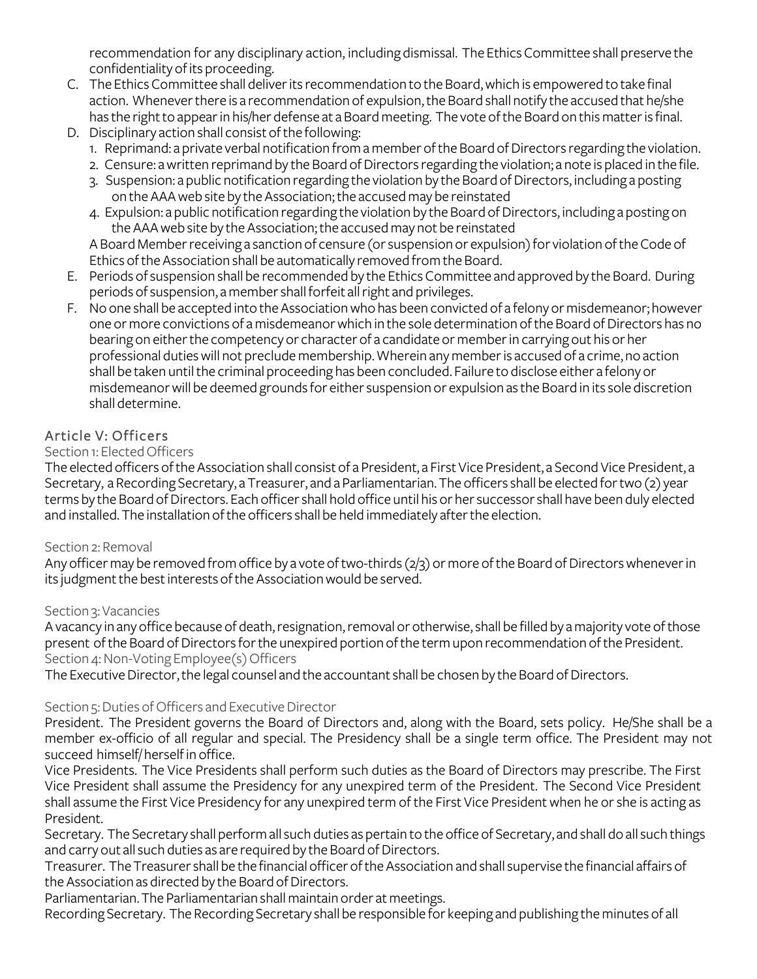recommendation for any disciplinary action, including dismissal. The Ethics Committee shall preserve the confidentiality of its proceeding.

- C. The Ethics Committee shall deliver its recommendation to the Board, which is empowered to take final action. Whenever there is a recommendation of expulsion, the Board shall notify the accused that he/she has the right to appear in his/her defense at a Board meeting. The vote of the Board on this matter is final.
- D. Disciplinary action shall consist of the following:
	- 1. Reprimand: a private verbal notification from a member of the Board of Directors regarding the violation.
	- 2. Censure: a written reprimand by the Board of Directors regarding the violation; a note is placed in the file.
	- 3. Suspension: a public notification regarding the violation by the Board of Directors, including a posting on the AAA web site by the Association; the accused may be reinstated
	- 4. Expulsion: a public notification regarding the violation by the Board of Directors, including a posting on the AAA web site by the Association; the accused may not be reinstated

A Board Member receiving a sanction of censure (or suspension or expulsion) for violation of the Code of Ethics of the Association shall be automatically removed from the Board.

- E. Periods of suspension shall be recommended by the Ethics Committee and approved by the Board. During periods of suspension, a member shall forfeit all right and privileges.
- F. No one shall be accepted into the Association who has been convicted of a felony ormisdemeanor; however one or more convictions of a misdemeanor which in the sole determination of the Board of Directors has no bearing on either the competency or character of a candidate or member in carrying out his or her professional duties will not preclude membership.Wherein any member is accused of a crime, no action shall be taken until the criminal proceeding has been concluded. Failure to disclose either a felony or misdemeanor will be deemed grounds for either suspension or expulsion as the Board in its sole discretion shall determine.

## Article V: Officers

## Section 1: Elected Officers

The elected officers of the Association shall consist of a President, a First Vice President, a Second Vice President, a Secretary, a Recording Secretary, a Treasurer, and a Parliamentarian. The officers shall be elected for two (2) year terms by the Board of Directors. Each officer shall hold office until his or her successor shall have been duly elected and installed. The installation of the officers shall be held immediately after the election.

## Section 2: Removal

Any officer may be removed from office by a vote of two-thirds (2/3) or more of the Board of Directors whenever in its judgment the best interests of the Association would be served.

## Section 3: Vacancies

A vacancy in any office because of death, resignation, removal or otherwise, shall be filled by a majority vote of those present of the Board of Directors for the unexpired portion of the term upon recommendation of the President. Section 4: Non-Voting Employee(s) Officers

The Executive Director, the legal counsel and the accountant shall be chosen by the Board of Directors.

## Section 5: Duties of Officers and Executive Director

President. The President governs the Board of Directors and, along with the Board, sets policy. He/She shall be a member ex-officio of all regular and special. The Presidency shall be a single term office. The President may not succeed himself/ herself in office.

Vice Presidents. The Vice Presidents shall perform such duties as the Board of Directors may prescribe. The First Vice President shall assume the Presidency for any unexpired term of the President. The Second Vice President shall assume the First Vice Presidency for any unexpired term of the First Vice President when he or she is acting as President.

Secretary. The Secretary shall perform all such duties as pertain to the office of Secretary, and shall do all such things and carry out all such duties as are required by the Board of Directors.

Treasurer. The Treasurer shall be the financial officer of the Association and shall supervise the financial affairs of the Association as directed by the Board of Directors.

Parliamentarian.The Parliamentarian shall maintain order at meetings.

Recording Secretary. The Recording Secretary shall be responsible for keeping and publishing the minutes of all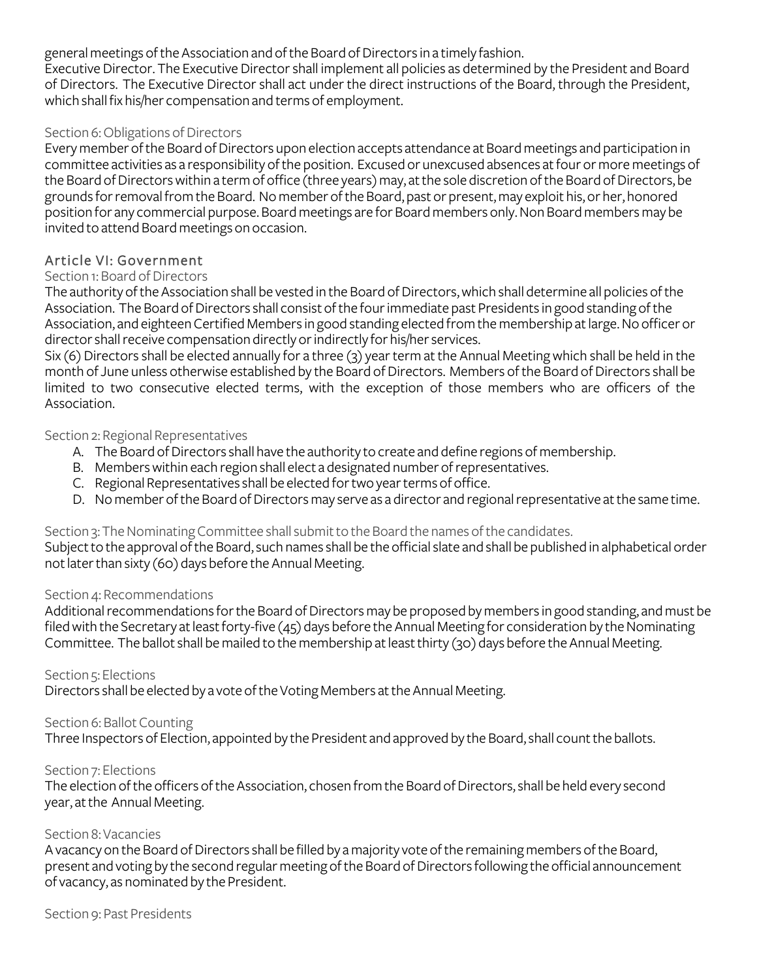general meetings of the Association and of the Board of Directors in a timely fashion.

Executive Director. The Executive Director shall implement all policies as determined by the President and Board of Directors. The Executive Director shall act under the direct instructions of the Board, through the President, which shall fix his/her compensation and terms of employment.

## Section 6: Obligations of Directors

Every member of the Board of Directors upon election accepts attendance at Board meetings and participation in committee activities as a responsibility of the position. Excused or unexcused absences at four or more meetings of the Board of Directors within a term of office (three years) may, at the sole discretion of the Board of Directors, be grounds for removal from the Board. No member of the Board, past or present, may exploit his, or her, honored position for any commercial purpose. Board meetings are for Board members only. Non Board members may be invited to attend Board meetings on occasion.

## Article VI: Government

## Section 1: Board of Directors

The authority of the Association shall be vested in the Board of Directors, which shall determine all policies of the Association. The Board of Directors shall consist of the four immediate past Presidents in good standing of the Association, and eighteen Certified Members in good standing elected from the membership at large. No officer or director shall receive compensation directly or indirectly for his/her services.

Six (6) Directors shall be elected annually for a three (3) year term at the Annual Meeting which shall be held in the month of June unless otherwise established by the Board of Directors. Members of the Board of Directors shall be limited to two consecutive elected terms, with the exception of those members who are officers of the Association.

#### Section 2: Regional Representatives

- A. The Board of Directors shall have the authority to create and define regions of membership.
- B. Members within each region shall elect a designated number of representatives.
- C. Regional Representatives shall be elected for two year terms of office.
- D. No member of the Board of Directors may serve as a director and regional representative at the same time.

## Section 3: The Nominating Committee shall submit to the Board the names of the candidates.

Subject to the approval of the Board, such names shall be the official slate and shall be published in alphabetical order not later than sixty (60) days before the Annual Meeting.

## Section 4: Recommendations

Additional recommendations for the Board of Directors may be proposed by members in good standing, and must be filed with the Secretary at least forty-five (45) days before the Annual Meeting for consideration by the Nominating Committee. The ballot shall be mailed to the membership at least thirty (30) days before the Annual Meeting.

## Section 5: Elections

Directors shall be elected by a vote of the Voting Members at the Annual Meeting.

## Section 6: Ballot Counting

Three Inspectors of Election, appointed by the President and approved by the Board, shall count the ballots.

#### Section 7: Elections

The election of the officers of the Association, chosen from the Board of Directors, shall be held every second year, at the Annual Meeting.

## Section 8:Vacancies

A vacancy on the Board of Directors shall be filled by a majority vote of the remaining members of the Board, present and voting by the second regular meeting of the Board of Directors following the official announcement of vacancy, as nominated by the President.

Section 9: Past Presidents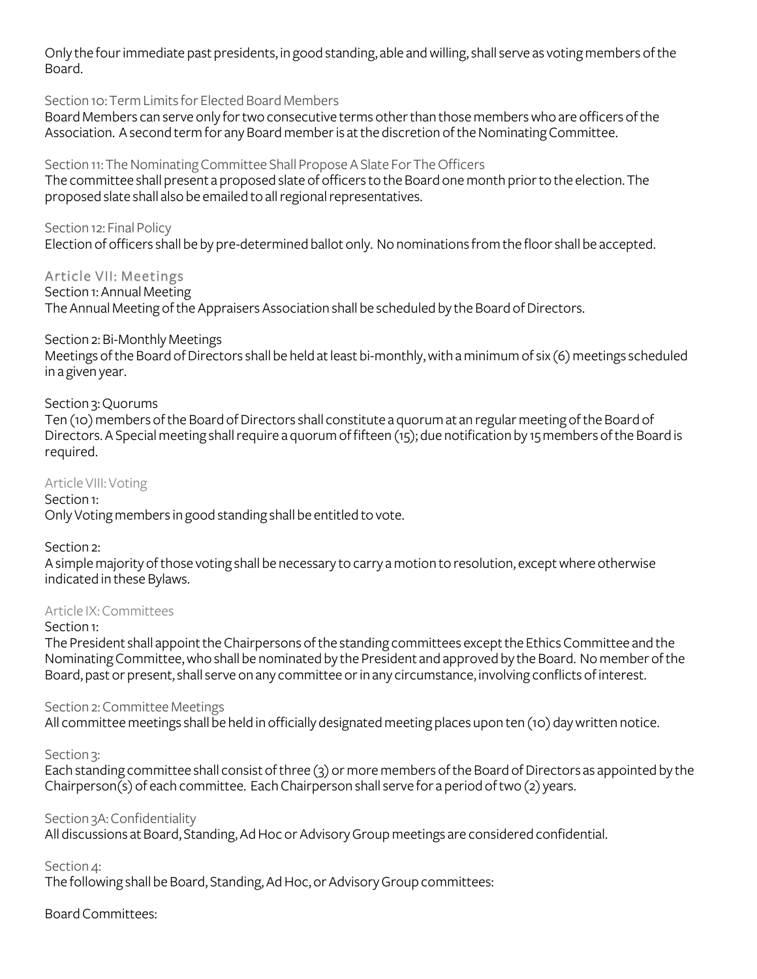Only the four immediate past presidents, in good standing, able and willing, shall serve as voting members of the Board.

## Section 10:Term Limits for Elected Board Members

Board Members can serve only for two consecutive terms other than those members who are officers of the Association. A second term for any Board member is at the discretion of the Nominating Committee.

## Section 11: The Nominating Committee Shall Propose A Slate For The Officers

The committee shall present a proposed slate of officers to the Board one month prior to the election.The proposed slate shall also be emailed to all regional representatives.

## Section 12: Final Policy

Election of officers shall be by pre-determined ballot only. No nominations from the floor shall be accepted.

## Article VII: Meetings

Section 1: Annual Meeting

The Annual Meeting of the Appraisers Association shall be scheduled by the Board of Directors.

## Section 2: Bi-Monthly Meetings

Meetings of the Board of Directors shall be held at least bi-monthly, with a minimum of six (6) meetings scheduled in a given year.

## Section 3: Quorums

Ten (10) members of the Board of Directors shall constitute a quorum at an regular meeting of the Board of Directors. A Special meeting shall require a quorum of fifteen (15); due notification by 15 members of the Board is required.

## Article VIII: Voting

Section 1:

Only Voting members in good standing shall be entitled to vote.

## Section 2:

A simple majority of those voting shall be necessary to carry a motion to resolution, except where otherwise indicated in these Bylaws.

## Article IX: Committees

## Section 1:

The President shall appoint the Chairpersons of the standing committees except the Ethics Committee and the Nominating Committee, who shall be nominated by the President and approved by the Board. No member of the Board, past or present, shall serve on any committee or in any circumstance, involving conflicts of interest.

## Section 2: Committee Meetings

All committee meetings shall be held in officially designated meeting places upon ten (10) day written notice.

## Section 3:

Each standing committee shall consist of three (3) or more members of the Board of Directors as appointed by the Chairperson(s) of each committee. Each Chairperson shall serve for a period of two (2) years.

## Section 3A: Confidentiality

All discussions at Board, Standing, Ad Hoc or Advisory Group meetings are considered confidential.

## Section 4:

The following shall be Board, Standing, Ad Hoc, or Advisory Group committees:

## Board Committees: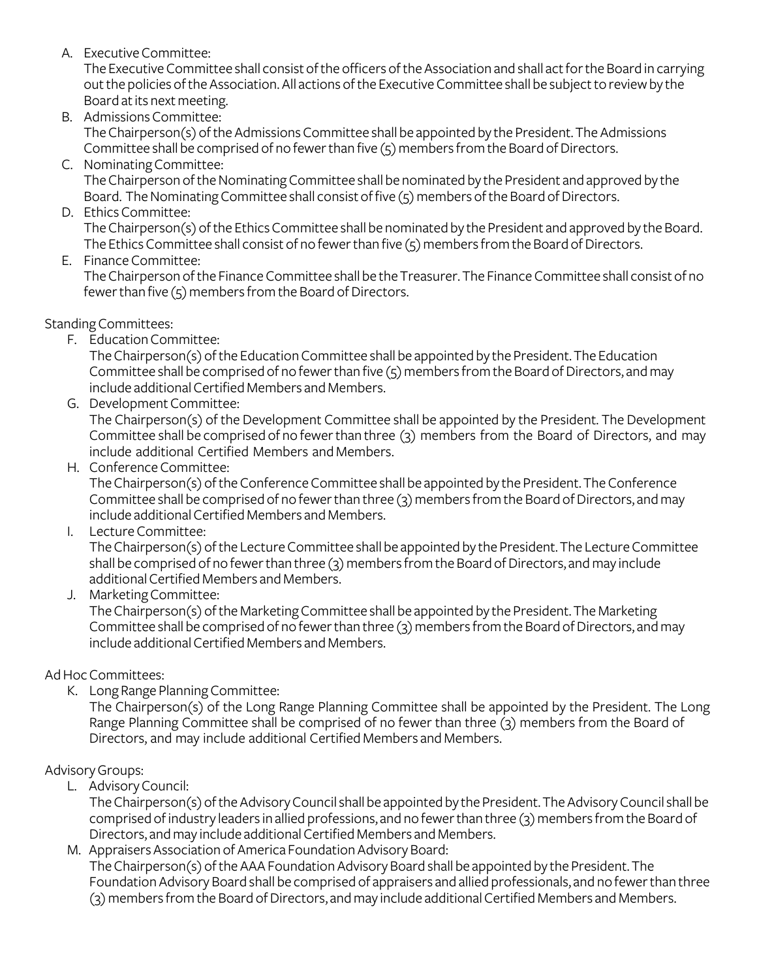A. Executive Committee:

The Executive Committee shall consist of the officers of the Association and shall act forthe Board in carrying out the policies of the Association. All actions of the Executive Committee shall be subject to review by the Board at its next meeting.

- B. Admissions Committee: The Chairperson(s) of the Admissions Committee shall be appointed by the President.The Admissions Committee shall be comprised of no fewer than five (5) members from the Board of Directors.
- C. Nominating Committee:

The Chairperson of the Nominating Committee shall be nominated by the President and approved by the Board. The Nominating Committee shall consist of five (5) members of the Board of Directors.

D. Ethics Committee:

The Chairperson(s) of the Ethics Committee shall be nominated by the President and approved by the Board. The Ethics Committee shall consist of no fewer than five (5) members from the Board of Directors.

E. Finance Committee:

The Chairperson of the Finance Committee shall be the Treasurer. The Finance Committee shall consist of no fewer than five (5) members from the Board of Directors.

Standing Committees:

F. Education Committee:

The Chairperson(s) of the Education Committee shall be appointed by the President.The Education Committee shall be comprised of no fewer than five (5) members from the Board of Directors, and may include additional Certified Members and Members.

G. Development Committee:

The Chairperson(s) of the Development Committee shall be appointed by the President. The Development Committee shall be comprised of no fewer than three (3) members from the Board of Directors, and may include additional Certified Members and Members.

H. Conference Committee:

The Chairperson(s) of the Conference Committee shall be appointed by the President.The Conference Committee shall be comprised of no fewer than three (3) members from the Board of Directors, and may include additional Certified Members and Members.

I. Lecture Committee:

The Chairperson(s) of the Lecture Committee shall be appointed by the President.The Lecture Committee shall be comprised of no fewer than three (3) members from the Board of Directors, and may include additional Certified Members and Members.

J. Marketing Committee:

The Chairperson(s) of the Marketing Committee shall be appointed by the President.The Marketing Committee shall be comprised of no fewer than three (3) members from the Board of Directors, and may include additional Certified Members and Members.

## Ad Hoc Committees:

K. Long Range Planning Committee:

The Chairperson(s) of the Long Range Planning Committee shall be appointed by the President. The Long Range Planning Committee shall be comprised of no fewer than three (3) members from the Board of Directors, and may include additional Certified Members and Members.

## Advisory Groups:

L. Advisory Council:

The Chairperson(s) of the Advisory Council shall be appointed by the President. The Advisory Council shall be comprised ofindustry leaders in allied professions, and no fewer than three (3) members from the Board of Directors, and may include additional Certified Members and Members.

M. Appraisers Association of America Foundation Advisory Board: The Chairperson(s) of the AAA Foundation Advisory Board shall be appointed by the President. The Foundation Advisory Board shall be comprised of appraisers and allied professionals, and no fewer than three (3) members from the Board of Directors, and may include additional Certified Members and Members.